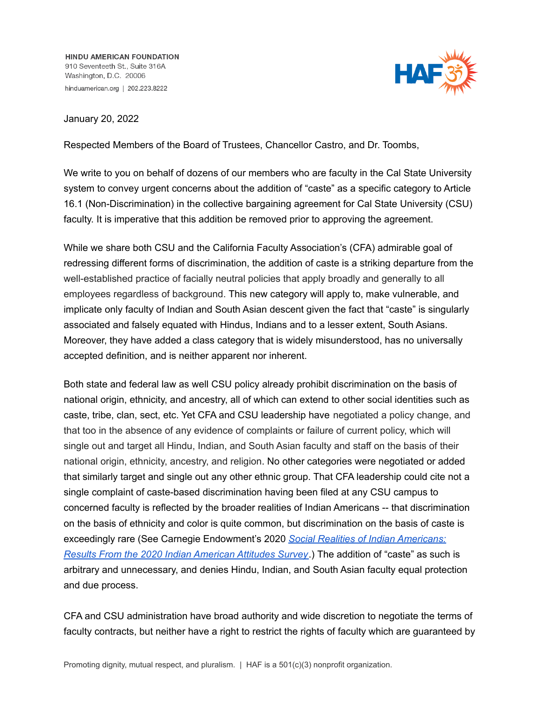**HINDU AMERICAN FOUNDATION** 910 Seventeeth St., Suite 316A Washington, D.C. 20006 hinduamerican.org | 202.223.8222



January 20, 2022

Respected Members of the Board of Trustees, Chancellor Castro, and Dr. Toombs,

We write to you on behalf of dozens of our members who are faculty in the Cal State University system to convey urgent concerns about the addition of "caste" as a specific category to Article 16.1 (Non-Discrimination) in the collective bargaining agreement for Cal State University (CSU) faculty. It is imperative that this addition be removed prior to approving the agreement.

While we share both CSU and the California Faculty Association's (CFA) admirable goal of redressing different forms of discrimination, the addition of caste is a striking departure from the well-established practice of facially neutral policies that apply broadly and generally to all employees regardless of background. This new category will apply to, make vulnerable, and implicate only faculty of Indian and South Asian descent given the fact that "caste" is singularly associated and falsely equated with Hindus, Indians and to a lesser extent, South Asians. Moreover, they have added a class category that is widely misunderstood, has no universally accepted definition, and is neither apparent nor inherent.

Both state and federal law as well CSU policy already prohibit discrimination on the basis of national origin, ethnicity, and ancestry, all of which can extend to other social identities such as caste, tribe, clan, sect, etc. Yet CFA and CSU leadership have negotiated a policy change, and that too in the absence of any evidence of complaints or failure of current policy, which will single out and target all Hindu, Indian, and South Asian faculty and staff on the basis of their national origin, ethnicity, ancestry, and religion. No other categories were negotiated or added that similarly target and single out any other ethnic group. That CFA leadership could cite not a single complaint of caste-based discrimination having been filed at any CSU campus to concerned faculty is reflected by the broader realities of Indian Americans -- that discrimination on the basis of ethnicity and color is quite common, but discrimination on the basis of caste is exceedingly rare (See Carnegie Endowment's 2020 *Social Realities of Indian [Americans:](https://carnegieendowment.org/files/Vaishnav_etal_IAASpt3_Final.pdf) Results From the 2020 Indian [American](https://carnegieendowment.org/files/Vaishnav_etal_IAASpt3_Final.pdf) Attitudes Survey*.) The addition of "caste" as such is arbitrary and unnecessary, and denies Hindu, Indian, and South Asian faculty equal protection and due process.

CFA and CSU administration have broad authority and wide discretion to negotiate the terms of faculty contracts, but neither have a right to restrict the rights of faculty which are guaranteed by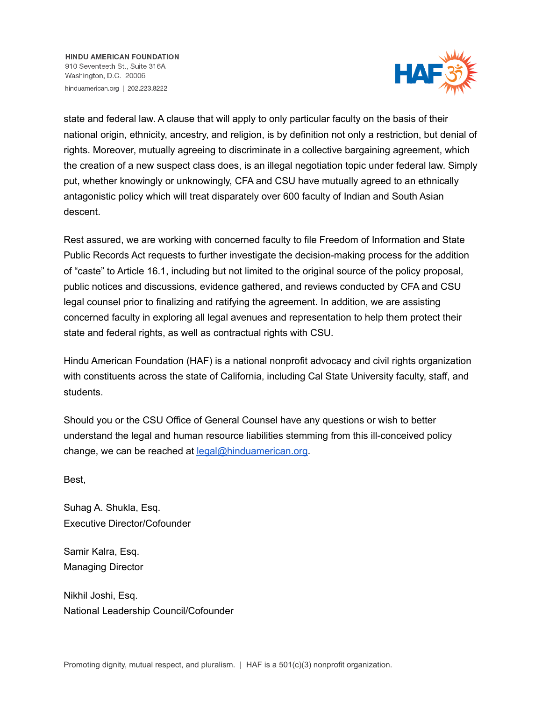**HINDU AMERICAN FOUNDATION** 910 Seventeeth St., Suite 316A Washington, D.C. 20006 hinduamerican.org | 202.223.8222



state and federal law. A clause that will apply to only particular faculty on the basis of their national origin, ethnicity, ancestry, and religion, is by definition not only a restriction, but denial of rights. Moreover, mutually agreeing to discriminate in a collective bargaining agreement, which the creation of a new suspect class does, is an illegal negotiation topic under federal law. Simply put, whether knowingly or unknowingly, CFA and CSU have mutually agreed to an ethnically antagonistic policy which will treat disparately over 600 faculty of Indian and South Asian descent.

Rest assured, we are working with concerned faculty to file Freedom of Information and State Public Records Act requests to further investigate the decision-making process for the addition of "caste" to Article 16.1, including but not limited to the original source of the policy proposal, public notices and discussions, evidence gathered, and reviews conducted by CFA and CSU legal counsel prior to finalizing and ratifying the agreement. In addition, we are assisting concerned faculty in exploring all legal avenues and representation to help them protect their state and federal rights, as well as contractual rights with CSU.

Hindu American Foundation (HAF) is a national nonprofit advocacy and civil rights organization with constituents across the state of California, including Cal State University faculty, staff, and students.

Should you or the CSU Office of General Counsel have any questions or wish to better understand the legal and human resource liabilities stemming from this ill-conceived policy change, we can be reached at legal@hinduamerican.org.

Best,

Suhag A. Shukla, Esq. Executive Director/Cofounder

Samir Kalra, Esq. Managing Director

Nikhil Joshi, Esq. National Leadership Council/Cofounder